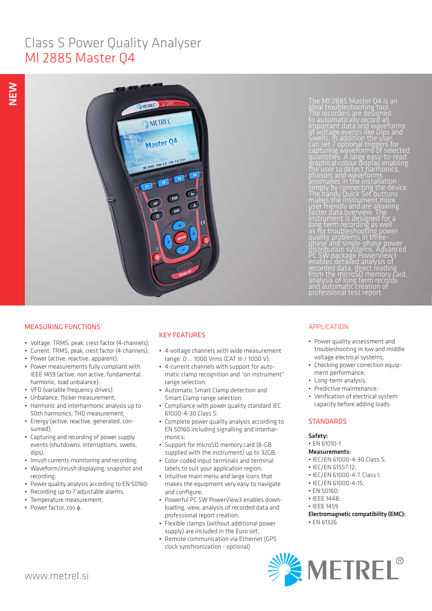# Class S Power Quality Analyser MI 2885 Master Q4



The MI 2885 Master Q4 is an ideal troubleshooting tool. The recorders are designed to automatically record all important data and waveforms of voltage events like Dips and can set 7 optional triggers for capturing waveforms of selected quantities. A large easy-to-read graphical colour display enabling simply by connecting the device. The handy Quick Set buttons makes the instrument more user friendly and are allowing faster data overview. The instrument is designed for a long term recording as well as for troubleshooting power quality problems in threephase and single-phase power distribution systems. Advanced PC SW package PowerView3 enables detailed analysis of recorded data, direct reading from the microSD memory card, analysis of long term records

# MEASURING FUNCTIONS

- Voltage: TRMS, peak, crest factor (4-channels);
- Current: TRMS, peak, crest factor (4-channels);
- Power (active, reactive, apparent);
- Power measurements fully compliant with IEEE 1459 (active, non active, fundamental, harmonic, load unbalance);
- VFD (variable frequency drives);
- Unbalance, flicker measurement;
- Harmonic and interharmonic analysis up to 50th harmonics, THD measurement;
- Energy (active, reactive, generated, consumed);
- Capturing and recording of power supply events (shutdowns, interruptions, swells, dips);
- Inrush currents monitoring and recording;
- Waveform/inrush displaying, snapshot and recording;
- Power quality analysis according to EN 50160;
- Recording up to 7 adjustable alarms;
- Temperature measurement;
- Power factor, cos φ.

# KEY FEATURES

- 4-voltage channels with wide measurement range: 0 ... 1000 Vrms (CAT III / 1000 V);
- 4-current channels with support for automatic clamp recognition and "on instrument" range selection;
- Automatic Smart Clamp detection and Smart Clamp range selection;
- Compliance with power quality standard IEC 61000-4-30 Class S;
- Complete power quality analysis according to EN 50160 including signalling and interharmonics;
- Support for microSD memory card (8-GB supplied with the instrument) up to 32GB;
- Color-coded input terminals and terminal labels to suit your application region;
- Intuitive main menu and large icons that makes the equipment very easy to navigate and configure;
- Powerful PC SW PowerView3 enables downloading, view, analysis of recorded data and professional report creation;
- Flexible clamps (without additional power supply) are included in the Euro set;
- Remote communication via Ethernet (GPS clock synchronization - optional).

# APPLICATION

- Power quality assessment and troubleshooting in low and middle voltage electrical systems;
- Checking power correction equipment performance;
- Long-term analysis;
- Predictive maintenance;
- Verification of electrical system capacity before adding loads.

## **STANDARDS**

## Safety:

• EN 61010-1

### Measurements:

- IEC/EN 61000-4-30,Class S;
- IEC/EN 61557-12;
- IEC/EN 61000-4-7, Class I;
- IEC/EN 61000-4-15;
- EN 50160;
- IEEE 1448;
- IEEE 1459
- Electromagnetic compatibility (EMC):
- EN 61326